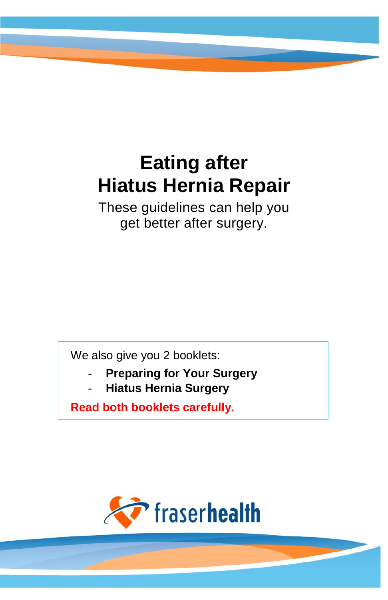# **Eating after Hiatus Hernia Repair**

These guidelines can help you get better after surgery.

We also give you 2 booklets:

- **Preparing for Your Surgery**
- **Hiatus Hernia Surgery**

**Read both booklets carefully.**

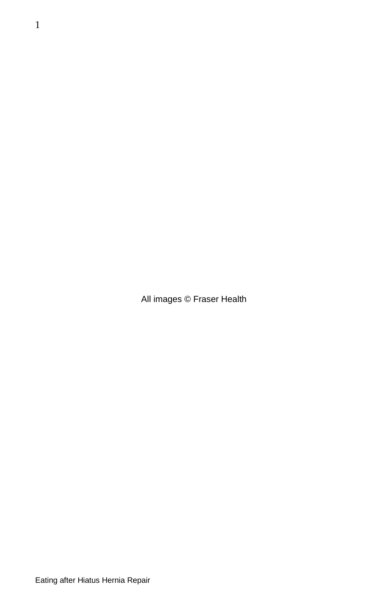All images © Fraser Health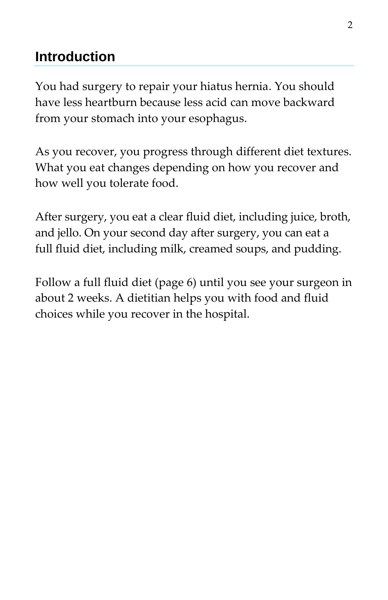## **Introduction**

You had surgery to repair your hiatus hernia. You should have less heartburn because less acid can move backward from your stomach into your esophagus.

As you recover, you progress through different diet textures. What you eat changes depending on how you recover and how well you tolerate food.

After surgery, you eat a clear fluid diet, including juice, broth, and jello. On your second day after surgery, you can eat a full fluid diet, including milk, creamed soups, and pudding.

Follow a full fluid diet (page 6) until you see your surgeon in about 2 weeks. A dietitian helps you with food and fluid choices while you recover in the hospital.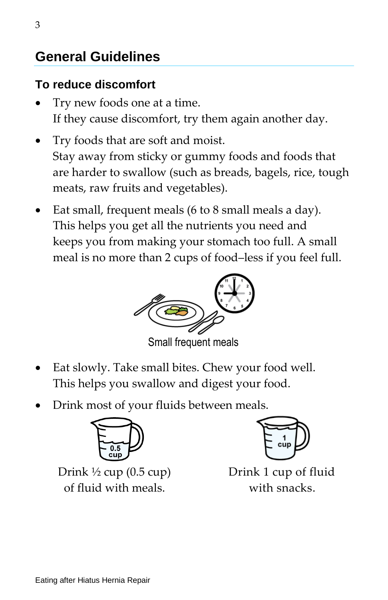# **General Guidelines**

## **To reduce discomfort**

- Try new foods one at a time. If they cause discomfort, try them again another day.
- Try foods that are soft and moist. Stay away from sticky or gummy foods and foods that are harder to swallow (such as breads, bagels, rice, tough meats, raw fruits and vegetables).
- Eat small, frequent meals (6 to 8 small meals a day). This helps you get all the nutrients you need and keeps you from making your stomach too full. A small meal is no more than 2 cups of food–less if you feel full.



Small frequent meals

- Eat slowly. Take small bites. Chew your food well. This helps you swallow and digest your food.
- Drink most of your fluids between meals.



Drink  $\frac{1}{2}$  cup (0.5 cup) of fluid with meals.



Drink 1 cup of fluid with snacks.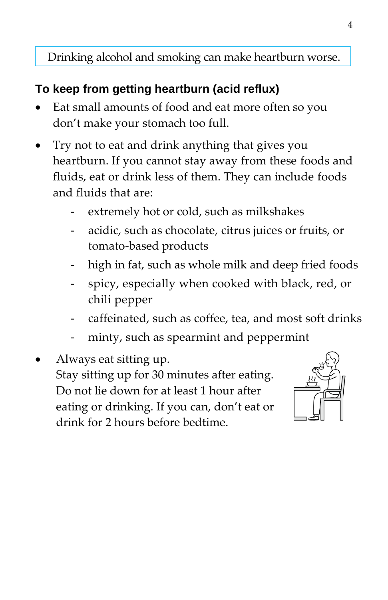Drinking alcohol and smoking can make heartburn worse.

## **To keep from getting heartburn (acid reflux)**

- Eat small amounts of food and eat more often so you don't make your stomach too full.
- Try not to eat and drink anything that gives you heartburn. If you cannot stay away from these foods and fluids, eat or drink less of them. They can include foods and fluids that are:
	- extremely hot or cold, such as milkshakes
	- acidic, such as chocolate, citrus juices or fruits, or tomato-based products
	- high in fat, such as whole milk and deep fried foods
	- spicy, especially when cooked with black, red, or chili pepper
	- caffeinated, such as coffee, tea, and most soft drinks
	- minty, such as spearmint and peppermint
- Always eat sitting up. Stay sitting up for 30 minutes after eating. Do not lie down for at least 1 hour after eating or drinking. If you can, don't eat or drink for 2 hours before bedtime.

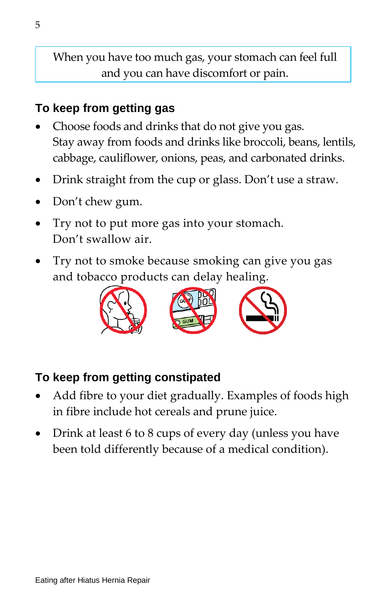When you have too much gas, your stomach can feel full and you can have discomfort or pain.

### **To keep from getting gas**

- Choose foods and drinks that do not give you gas. Stay away from foods and drinks like broccoli, beans, lentils, cabbage, cauliflower, onions, peas, and carbonated drinks.
- Drink straight from the cup or glass. Don't use a straw.
- Don't chew gum.
- Try not to put more gas into your stomach. Don't swallow air.
- Try not to smoke because smoking can give you gas and tobacco products can delay healing.



#### **To keep from getting constipated**

- Add fibre to your diet gradually. Examples of foods high in fibre include hot cereals and prune juice.
- Drink at least 6 to 8 cups of every day (unless you have been told differently because of a medical condition).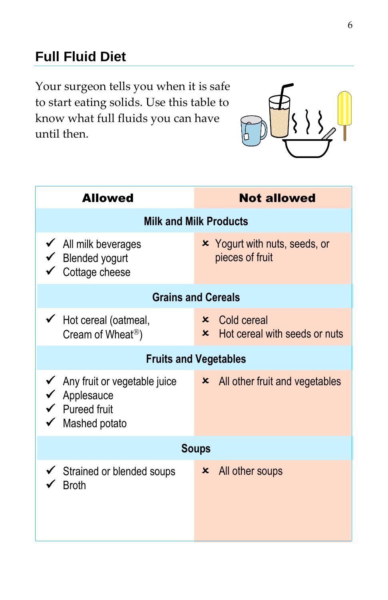# **Full Fluid Diet**

Your surgeon tells you when it is safe to start eating solids. Use this table to know what full fluids you can have until then.



| <b>Allowed</b>                                                                                                     | <b>Not allowed</b>                                             |  |  |
|--------------------------------------------------------------------------------------------------------------------|----------------------------------------------------------------|--|--|
| <b>Milk and Milk Products</b>                                                                                      |                                                                |  |  |
| $\checkmark$ All milk beverages<br>$\checkmark$ Blended yogurt<br>$\checkmark$ Cottage cheese                      | <b>x</b> Yogurt with nuts, seeds, or<br>pieces of fruit        |  |  |
| <b>Grains and Cereals</b>                                                                                          |                                                                |  |  |
| $\checkmark$ Hot cereal (oatmeal,<br>Cream of Wheat <sup>®</sup> )                                                 | $\times$ Cold cereal<br><b>*</b> Hot cereal with seeds or nuts |  |  |
| <b>Fruits and Vegetables</b>                                                                                       |                                                                |  |  |
| $\checkmark$ Any fruit or vegetable juice<br>$\checkmark$ Applesauce<br>$\checkmark$ Pureed fruit<br>Mashed potato | $\times$ All other fruit and vegetables                        |  |  |
| <b>Soups</b>                                                                                                       |                                                                |  |  |
| Strained or blended soups<br><b>Broth</b>                                                                          | $\times$ All other soups                                       |  |  |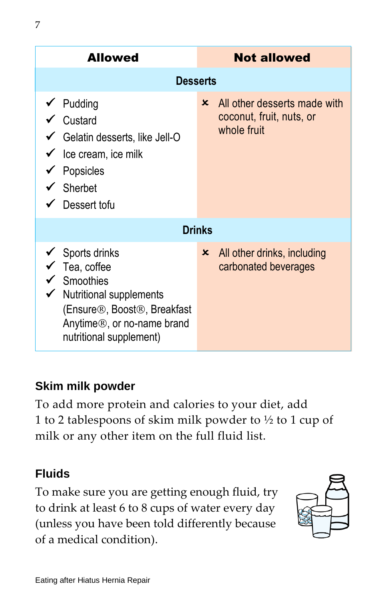|                 | AIIUweu                                                                                                                                                                                                                              |                           | NUL AIIUWEU                                                             |  |  |
|-----------------|--------------------------------------------------------------------------------------------------------------------------------------------------------------------------------------------------------------------------------------|---------------------------|-------------------------------------------------------------------------|--|--|
| <b>Desserts</b> |                                                                                                                                                                                                                                      |                           |                                                                         |  |  |
|                 | $\checkmark$ Pudding<br>$\checkmark$ Custard<br>$\checkmark$ Gelatin desserts, like Jell-O<br>$\checkmark$ Ice cream, ice milk<br>Popsicles<br>$\checkmark$ Sherbet<br>Dessert tofu                                                  | $\mathsf{x}$              | All other desserts made with<br>coconut, fruit, nuts, or<br>whole fruit |  |  |
| <b>Drinks</b>   |                                                                                                                                                                                                                                      |                           |                                                                         |  |  |
|                 | $\checkmark$ Sports drinks<br>Tea, coffee<br>$\checkmark$ Smoothies<br><b>Nutritional supplements</b><br>(Ensure <sup>®</sup> , Boost <sup>®</sup> , Breakfast<br>Anytime <sup>®</sup> , or no-name brand<br>nutritional supplement) | $\boldsymbol{\mathsf{x}}$ | All other drinks, including<br>carbonated beverages                     |  |  |

## **Skim milk powder**

To add more protein and calories to your diet, add 1 to 2 tablespoons of skim milk powder to  $\frac{1}{2}$  to 1 cup of milk or any other item on the full fluid list.

## **Fluids**

To make sure you are getting enough fluid, try to drink at least 6 to 8 cups of water every day (unless you have been told differently because of a medical condition).

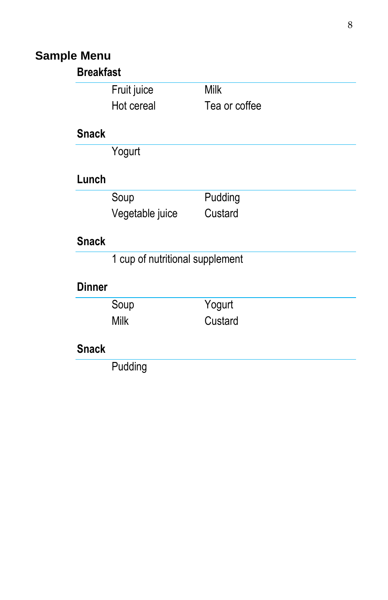# **Sample Menu**

| <b>Breakfast</b> |                                 |               |
|------------------|---------------------------------|---------------|
|                  | Fruit juice                     | <b>Milk</b>   |
|                  | Hot cereal                      | Tea or coffee |
| <b>Snack</b>     |                                 |               |
|                  | Yogurt                          |               |
| Lunch            |                                 |               |
|                  | Soup                            | Pudding       |
|                  | Vegetable juice                 | Custard       |
| <b>Snack</b>     |                                 |               |
|                  | 1 cup of nutritional supplement |               |
| <b>Dinner</b>    |                                 |               |
|                  | Soup                            | Yogurt        |
|                  | Milk                            | Custard       |
| <b>Snack</b>     |                                 |               |
|                  | Pudding                         |               |
|                  |                                 |               |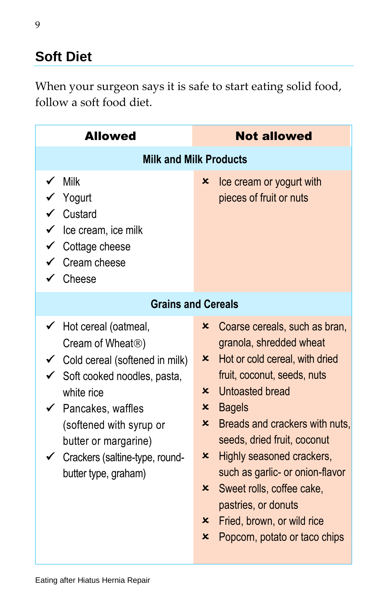# **Soft Diet**

When your surgeon says it is safe to start eating solid food, follow a soft food diet.

| <b>Allowed</b>                                                                                                                                                                                                                                                                                                             | <b>Not allowed</b>                                                                                                                                                                                                                                                                                                                                                                                                                                                                                                                                                        |  |  |
|----------------------------------------------------------------------------------------------------------------------------------------------------------------------------------------------------------------------------------------------------------------------------------------------------------------------------|---------------------------------------------------------------------------------------------------------------------------------------------------------------------------------------------------------------------------------------------------------------------------------------------------------------------------------------------------------------------------------------------------------------------------------------------------------------------------------------------------------------------------------------------------------------------------|--|--|
| <b>Milk and Milk Products</b>                                                                                                                                                                                                                                                                                              |                                                                                                                                                                                                                                                                                                                                                                                                                                                                                                                                                                           |  |  |
| Milk<br>Yogurt<br>Custard<br>$\checkmark$ Ice cream, ice milk<br>$\checkmark$ Cottage cheese<br>Cream cheese<br>Cheese                                                                                                                                                                                                     | Ice cream or yogurt with<br>x<br>pieces of fruit or nuts                                                                                                                                                                                                                                                                                                                                                                                                                                                                                                                  |  |  |
| <b>Grains and Cereals</b>                                                                                                                                                                                                                                                                                                  |                                                                                                                                                                                                                                                                                                                                                                                                                                                                                                                                                                           |  |  |
| Hot cereal (oatmeal,<br>Cream of Wheat <sup>®</sup> )<br>$\checkmark$ Cold cereal (softened in milk)<br>$\checkmark$ Soft cooked noodles, pasta,<br>white rice<br>$\checkmark$ Pancakes, waffles<br>(softened with syrup or<br>butter or margarine)<br>$\checkmark$ Crackers (saltine-type, round-<br>butter type, graham) | Coarse cereals, such as bran,<br>x<br>granola, shredded wheat<br>Hot or cold cereal, with dried<br>x<br>fruit, coconut, seeds, nuts<br>Untoasted bread<br>$\mathsf{x}$<br>$\boldsymbol{\mathsf{x}}$<br><b>Bagels</b><br>Breads and crackers with nuts,<br>x<br>seeds, dried fruit, coconut<br>$\boldsymbol{\mathsf{x}}$<br>Highly seasoned crackers,<br>such as garlic- or onion-flavor<br>$\boldsymbol{\mathsf{x}}$<br>Sweet rolls, coffee cake,<br>pastries, or donuts<br>Fried, brown, or wild rice<br>$\boldsymbol{\mathsf{x}}$<br>×<br>Popcorn, potato or taco chips |  |  |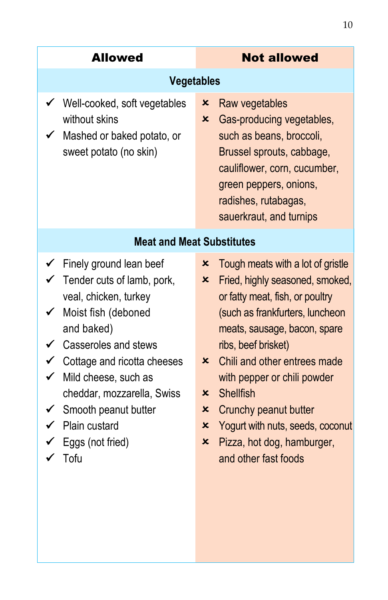| <b>Allowed</b>                                                                                                                                                                                                                                                                                                                                                                    | <b>Not allowed</b>                                                                                                                                                                                                                                                                                                                                                                                                                                                                         |  |  |
|-----------------------------------------------------------------------------------------------------------------------------------------------------------------------------------------------------------------------------------------------------------------------------------------------------------------------------------------------------------------------------------|--------------------------------------------------------------------------------------------------------------------------------------------------------------------------------------------------------------------------------------------------------------------------------------------------------------------------------------------------------------------------------------------------------------------------------------------------------------------------------------------|--|--|
| <b>Vegetables</b>                                                                                                                                                                                                                                                                                                                                                                 |                                                                                                                                                                                                                                                                                                                                                                                                                                                                                            |  |  |
| Well-cooked, soft vegetables<br>without skins<br>Mashed or baked potato, or<br>✓<br>sweet potato (no skin)                                                                                                                                                                                                                                                                        | Raw vegetables<br>x<br>$\boldsymbol{\mathsf{x}}$<br>Gas-producing vegetables,<br>such as beans, broccoli,<br>Brussel sprouts, cabbage,<br>cauliflower, corn, cucumber,<br>green peppers, onions,<br>radishes, rutabagas,<br>sauerkraut, and turnips                                                                                                                                                                                                                                        |  |  |
| <b>Meat and Meat Substitutes</b>                                                                                                                                                                                                                                                                                                                                                  |                                                                                                                                                                                                                                                                                                                                                                                                                                                                                            |  |  |
| $\checkmark$ Finely ground lean beef<br>$\checkmark$ Tender cuts of lamb, pork,<br>veal, chicken, turkey<br>Moist fish (deboned<br>$\checkmark$<br>and baked)<br>Casseroles and stews<br>$\checkmark$ Cottage and ricotta cheeses<br>$\checkmark$<br>Mild cheese, such as<br>cheddar, mozzarella, Swiss<br>Smooth peanut butter<br>✔<br>Plain custard<br>Eggs (not fried)<br>Tofu | ×<br>Tough meats with a lot of gristle<br>×<br>Fried, highly seasoned, smoked,<br>or fatty meat, fish, or poultry<br>(such as frankfurters, luncheon<br>meats, sausage, bacon, spare<br>ribs, beef brisket)<br>Chili and other entrees made<br>$\boldsymbol{\mathsf{x}}$<br>with pepper or chili powder<br><b>Shellfish</b><br>$\boldsymbol{\mathsf{x}}$<br>×<br>Crunchy peanut butter<br>×<br>Yogurt with nuts, seeds, coconut<br>Pizza, hot dog, hamburger,<br>×<br>and other fast foods |  |  |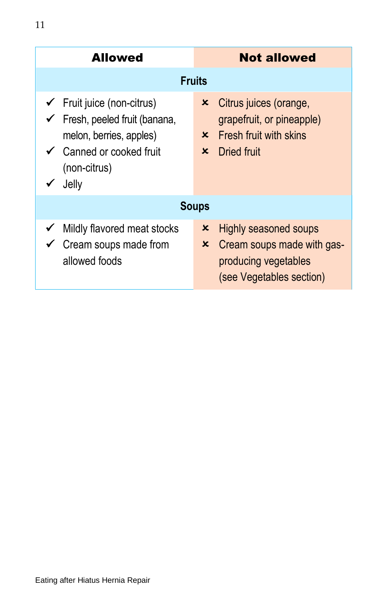| <b>Allowed</b>                                                                                                                                                                | <b>Not allowed</b>                                                                                                                                                     |  |  |  |
|-------------------------------------------------------------------------------------------------------------------------------------------------------------------------------|------------------------------------------------------------------------------------------------------------------------------------------------------------------------|--|--|--|
| <b>Fruits</b>                                                                                                                                                                 |                                                                                                                                                                        |  |  |  |
| $\checkmark$ Fruit juice (non-citrus)<br>$\checkmark$ Fresh, peeled fruit (banana,<br>melon, berries, apples)<br>$\checkmark$ Canned or cooked fruit<br>(non-citrus)<br>Jelly | Citrus juices (orange,<br>$\boldsymbol{\mathsf{x}}$<br>grapefruit, or pineapple)<br>Fresh fruit with skins<br>$\mathsf{x}$<br>Dried fruit<br>$\boldsymbol{\mathsf{x}}$ |  |  |  |
| <b>Soups</b>                                                                                                                                                                  |                                                                                                                                                                        |  |  |  |
| Mildly flavored meat stocks<br>$\checkmark$ Cream soups made from<br>allowed foods                                                                                            | Highly seasoned soups<br>x<br>×<br>Cream soups made with gas-<br>producing vegetables<br>(see Vegetables section)                                                      |  |  |  |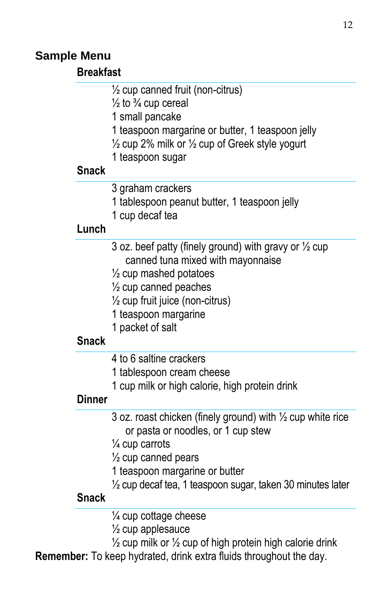#### **Sample Menu**

#### **Breakfast**

#### ½ cup canned fruit (non-citrus)

 $\frac{1}{2}$  to  $\frac{3}{4}$  cup cereal

1 small pancake

1 teaspoon margarine or butter, 1 teaspoon jelly

 $\frac{1}{2}$  cup 2% milk or  $\frac{1}{2}$  cup of Greek style yogurt

1 teaspoon sugar

#### **Snack**

- 3 graham crackers
- 1 tablespoon peanut butter, 1 teaspoon jelly
- 1 cup decaf tea

#### **Lunch**

3 oz. beef patty (finely ground) with gravy or  $\frac{1}{2}$  cup canned tuna mixed with mayonnaise

- $\frac{1}{2}$  cup mashed potatoes
- $\frac{1}{2}$  cup canned peaches
- $\frac{1}{2}$  cup fruit juice (non-citrus)
- 1 teaspoon margarine
- 1 packet of salt

#### **Snack**

- 4 to 6 saltine crackers
- 1 tablespoon cream cheese
- 1 cup milk or high calorie, high protein drink

#### **Dinner**

- 3 oz. roast chicken (finely ground) with  $\frac{1}{2}$  cup white rice or pasta or noodles, or 1 cup stew
- ¼ cup carrots
- $\frac{1}{2}$  cup canned pears
- 1 teaspoon margarine or butter
- $\frac{1}{2}$  cup decaf tea, 1 teaspoon sugar, taken 30 minutes later

#### **Snack**

- ¼ cup cottage cheese
- $\frac{1}{2}$  cup applesauce
- $\frac{1}{2}$  cup milk or  $\frac{1}{2}$  cup of high protein high calorie drink
- **Remember:** To keep hydrated, drink extra fluids throughout the day.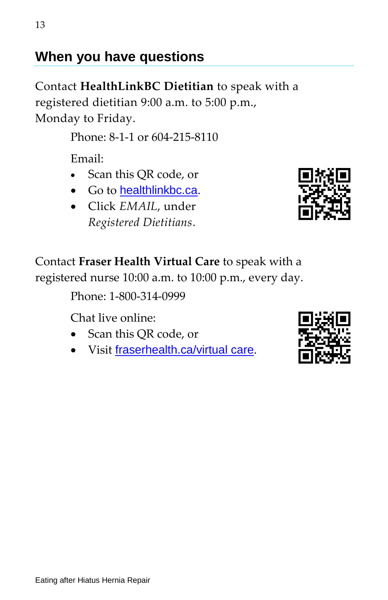## **When you have questions**

Contact **HealthLinkBC Dietitian** to speak with a registered dietitian 9:00 a.m. to 5:00 p.m., Monday to Friday.

Phone: 8-1-1 or 604-215-8110

Email:

- Scan this QR code, or
- Go to [healthlinkbc.ca](https://www.healthlinkbc.ca/healthy-eating-physical-activity/email-healthlinkbc-dietitian).
- Click *EMAIL*, under *Registered Dietitians*.



Contact **Fraser Health Virtual Care** to speak with a registered nurse 10:00 a.m. to 10:00 p.m., every day.

Phone: 1-800-314-0999

Chat live online:

- Scan this QR code, or
- Visit [fraserhealth.ca/virtual care](https://www.fraserhealth.ca/patients-and-visitors/fraser-health-virtual-care).

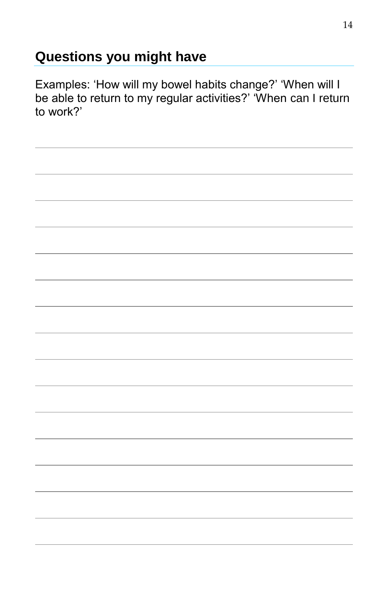# **Questions you might have**

Examples: 'How will my bowel habits change?' 'When will I be able to return to my regular activities?' 'When can I return to work?'